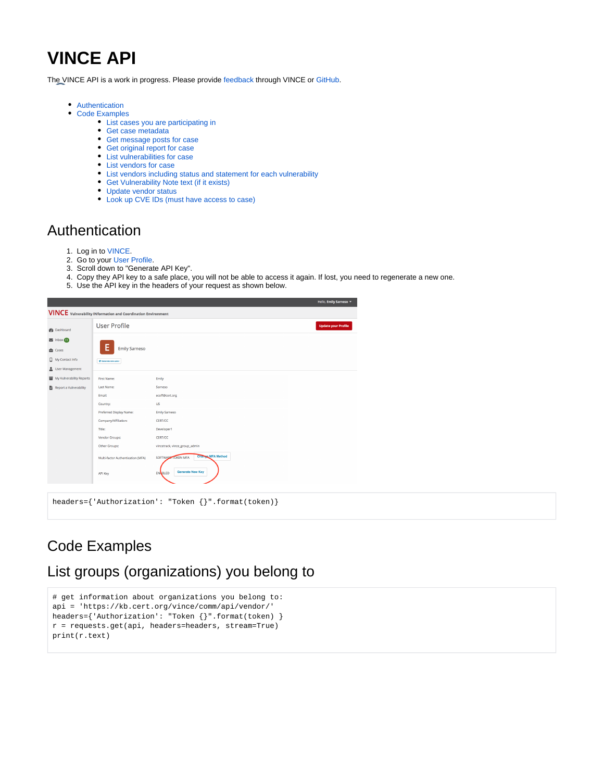# **VINCE API**

The VINCE API is a work in progress. Please provide [feedback](https://kb.cert.org/vince/comm/sendmsg/8/) through VINCE or [GitHub](https://github.com/CERTCC/VINCE/issues).

- [Authentication](#page-0-0)
- [Code Examples](#page-0-1)
	- [List cases you are participating in](#page-1-0)
		- [Get case metadata](#page-1-1)
		- [Get message posts for case](#page-1-2)
		- [Get original report for case](#page-2-0)
		- [List vulnerabilities for case](#page-2-1)
		- [List vendors for case](#page-3-0)
		- [List vendors including status and statement for each vulnerability](#page-3-1)
		- [Get Vulnerability Note text \(if it exists\)](#page-4-0)
		- [Update vendor status](#page-4-1)
		- [Look up CVE IDs \(must have access to case\)](#page-5-0)

### <span id="page-0-0"></span>Authentication

- 1. Log in to [VINCE.](https://kb.cert.org/vince/)
- 2. Go to your [User Profile](https://kb.cert.org/vince/comm/auth/profile/).
- 3. Scroll down to "Generate API Key".
- 4. Copy they API key to a safe place, you will not be able to access it again. If lost, you need to regenerate a new one.
- 5. Use the API key in the headers of your request as shown below.



# <span id="page-0-1"></span>Code Examples

## List groups (organizations) you belong to

```
# get information about organizations you belong to:
api = 'https://kb.cert.org/vince/comm/api/vendor/'
headers={'Authorization': "Token {}".format(token) }
r = requests.get(api, headers=headers, stream=True)
print(r.text)
```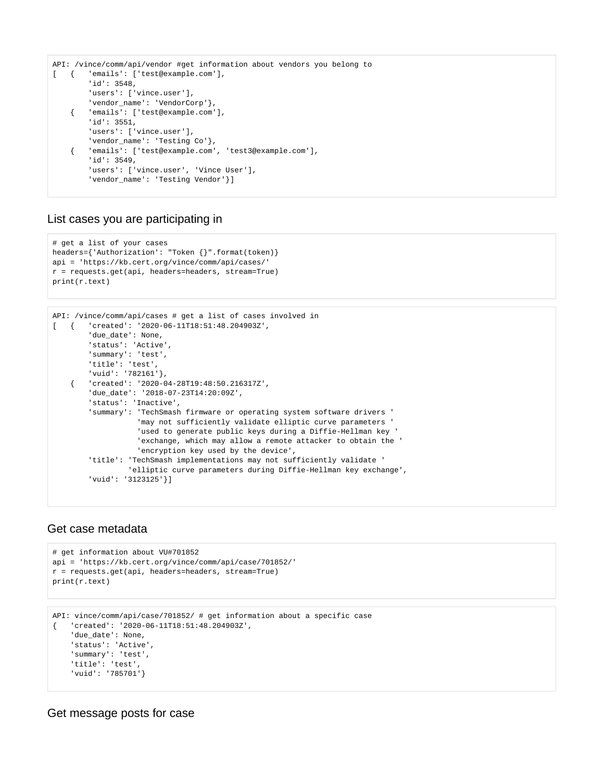```
API: /vince/comm/api/vendor #get information about vendors you belong to
[ { 'emails': ['test@example.com'],
        'id': 3548,
         'users': ['vince.user'],
        'vendor name': 'VendorCorp'},
     { 'emails': ['test@example.com'],
        'id': 3551,
        'users': ['vince.user'],
        'vendor name': 'Testing Co'},
     { 'emails': ['test@example.com', 'test3@example.com'],
        'id': 3549,
        'users': ['vince.user', 'Vince User'],
        'vendor_name': 'Testing Vendor'}]
```
#### <span id="page-1-0"></span>List cases you are participating in

```
# get a list of your cases
headers={'Authorization': "Token {}".format(token)}
api = 'https://kb.cert.org/vince/comm/api/cases/'
r = requests.get(api, headers=headers, stream=True)
print(r.text)
```

```
API: /vince/comm/api/cases # get a list of cases involved in
[ { 'created': '2020-06-11T18:51:48.204903Z',
         'due_date': None,
         'status': 'Active',
         'summary': 'test',
         'title': 'test',
         'vuid': '782161'},
     { 'created': '2020-04-28T19:48:50.216317Z',
        'due_date': '2018-07-23T14:20:09Z',
         'status': 'Inactive',
         'summary': 'TechSmash firmware or operating system software drivers '
                    'may not sufficiently validate elliptic curve parameters '
                    'used to generate public keys during a Diffie-Hellman key '
                    'exchange, which may allow a remote attacker to obtain the '
                    'encryption key used by the device',
         'title': 'TechSmash implementations may not sufficiently validate '
                  'elliptic curve parameters during Diffie-Hellman key exchange',
         'vuid': '3123125'}]
```
#### <span id="page-1-1"></span>Get case metadata

```
# get information about VU#701852
api = 'https://kb.cert.org/vince/comm/api/case/701852/'
r = requests.get(api, headers=headers, stream=True)
print(r.text)
```

```
API: vince/comm/api/case/701852/ # get information about a specific case
{ 'created': '2020-06-11T18:51:48.204903Z',
     'due_date': None,
     'status': 'Active',
     'summary': 'test',
     'title': 'test',
     'vuid': '785701'}
```
<span id="page-1-2"></span>Get message posts for case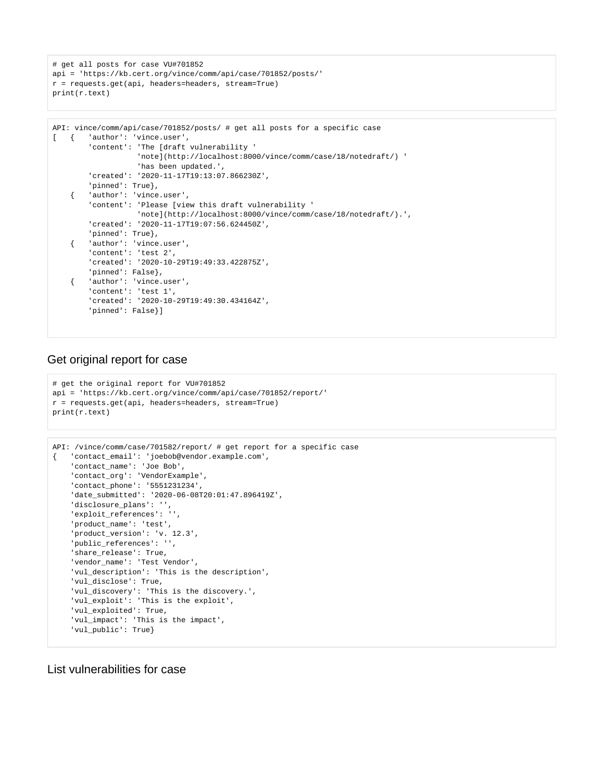# get all posts for case VU#701852 api = 'https://kb.cert.org/vince/comm/api/case/701852/posts/' r = requests.get(api, headers=headers, stream=True) print(r.text)

```
API: vince/comm/api/case/701852/posts/ # get all posts for a specific case
[ { 'author': 'vince.user',
         'content': 'The [draft vulnerability '
                    'note](http://localhost:8000/vince/comm/case/18/notedraft/) '
                    'has been updated.',
         'created': '2020-11-17T19:13:07.866230Z',
         'pinned': True},
     { 'author': 'vince.user',
        'content': 'Please [view this draft vulnerability '
                    'note](http://localhost:8000/vince/comm/case/18/notedraft/).',
         'created': '2020-11-17T19:07:56.624450Z',
         'pinned': True},
     { 'author': 'vince.user',
        'content': 'test 2',
        'created': '2020-10-29T19:49:33.422875Z',
        'pinned': False},
     { 'author': 'vince.user',
         'content': 'test 1',
         'created': '2020-10-29T19:49:30.434164Z',
         'pinned': False}]
```
#### <span id="page-2-0"></span>Get original report for case

```
# get the original report for VU#701852
api = 'https://kb.cert.org/vince/comm/api/case/701852/report/'
r = requests.get(api, headers=headers, stream=True)
print(r.text)
```

```
API: /vince/comm/case/701582/report/ # get report for a specific case
{ 'contact_email': 'joebob@vendor.example.com',
    'contact_name': 'Joe Bob',
    'contact_org': 'VendorExample',
     'contact_phone': '5551231234',
     'date_submitted': '2020-06-08T20:01:47.896419Z',
     'disclosure_plans': '',
     'exploit_references': '',
     'product_name': 'test',
    'product_version': 'v. 12.3',
    'public_references': '',
     'share_release': True,
     'vendor_name': 'Test Vendor',
     'vul_description': 'This is the description',
     'vul_disclose': True,
     'vul_discovery': 'This is the discovery.',
     'vul_exploit': 'This is the exploit',
     'vul_exploited': True,
     'vul_impact': 'This is the impact',
     'vul_public': True}
```
<span id="page-2-1"></span>List vulnerabilities for case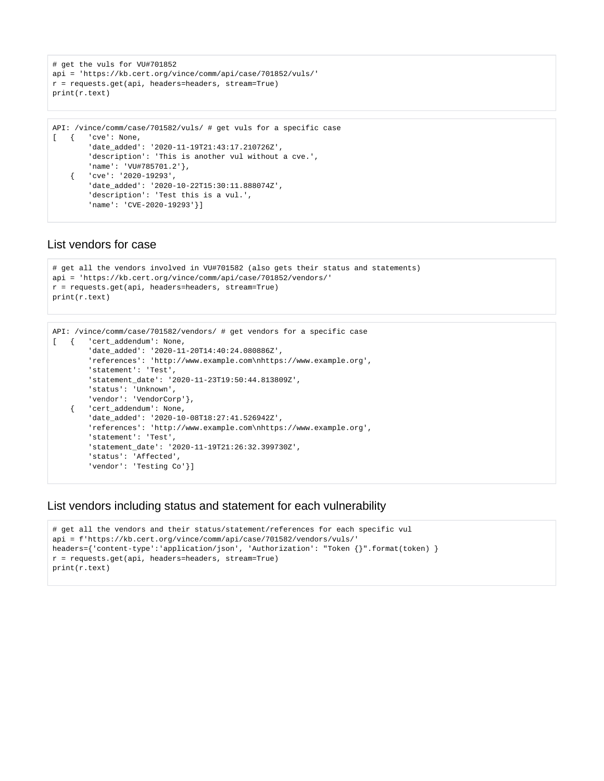```
# get the vuls for VU#701852
api = 'https://kb.cert.org/vince/comm/api/case/701852/vuls/'
r = requests.get(api, headers=headers, stream=True)
print(r.text)
```

```
API: /vince/comm/case/701582/vuls/ # get vuls for a specific case
[ \{ 'cve': None,
         'date_added': '2020-11-19T21:43:17.210726Z',
         'description': 'This is another vul without a cve.',
         'name': 'VU#785701.2'},
     { 'cve': '2020-19293',
        'date_added': '2020-10-22T15:30:11.888074Z',
         'description': 'Test this is a vul.',
         'name': 'CVE-2020-19293'}]
```
#### <span id="page-3-0"></span>List vendors for case

```
# get all the vendors involved in VU#701582 (also gets their status and statements)
api = 'https://kb.cert.org/vince/comm/api/case/701852/vendors/'
r = requests.get(api, headers=headers, stream=True)
print(r.text)
```

```
API: /vince/comm/case/701582/vendors/ # get vendors for a specific case
[ { 'cert_addendum': None,
        'date_added': '2020-11-20T14:40:24.080886Z',
        'references': 'http://www.example.com\nhttps://www.example.org',
         'statement': 'Test',
         'statement_date': '2020-11-23T19:50:44.813809Z',
        'status': 'Unknown',
        'vendor': 'VendorCorp'},
     { 'cert_addendum': None,
        'date_added': '2020-10-08T18:27:41.526942Z',
        'references': 'http://www.example.com\nhttps://www.example.org',
         'statement': 'Test',
         'statement_date': '2020-11-19T21:26:32.399730Z',
         'status': 'Affected',
        'vendor': 'Testing Co'}]
```
#### <span id="page-3-1"></span>List vendors including status and statement for each vulnerability

```
# get all the vendors and their status/statement/references for each specific vul
api = f'https://kb.cert.org/vince/comm/api/case/701582/vendors/vuls/'
headers={'content-type':'application/json', 'Authorization': "Token {}".format(token) }
r = requests.get(api, headers=headers, stream=True)
print(r.text)
```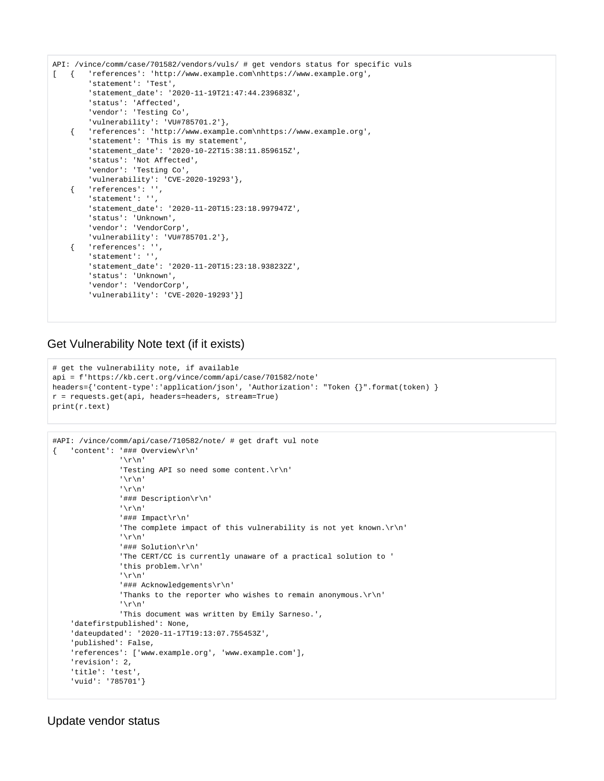```
API: /vince/comm/case/701582/vendors/vuls/ # get vendors status for specific vuls
[ { 'references': 'http://www.example.com\nhttps://www.example.org',
         'statement': 'Test',
         'statement_date': '2020-11-19T21:47:44.239683Z',
         'status': 'Affected',
        'vendor': 'Testing Co',
        'vulnerability': 'VU#785701.2'},
     { 'references': 'http://www.example.com\nhttps://www.example.org',
        'statement': 'This is my statement',
         'statement_date': '2020-10-22T15:38:11.859615Z',
        'status': 'Not Affected',
        'vendor': 'Testing Co',
        'vulnerability': 'CVE-2020-19293'},
     { 'references': '',
        'statement': '',
         'statement_date': '2020-11-20T15:23:18.997947Z',
         'status': 'Unknown',
        'vendor': 'VendorCorp',
        'vulnerability': 'VU#785701.2'},
     { 'references': '',
        'statement': '',
         'statement_date': '2020-11-20T15:23:18.938232Z',
         'status': 'Unknown',
        'vendor': 'VendorCorp',
         'vulnerability': 'CVE-2020-19293'}]
```
#### <span id="page-4-0"></span>Get Vulnerability Note text (if it exists)

```
# get the vulnerability note, if available
api = f'https://kb.cert.org/vince/comm/api/case/701582/note'
headers={'content-type':'application/json', 'Authorization': "Token {}".format(token) }
r = requests.get(api, headers=headers, stream=True)
print(r.text)
```

```
#API: /vince/comm/api/case/710582/note/ # get draft vul note
{ 'content': '### Overview\r\n'
                '\r\n'
                'Testing API so need some content.\r\n'
                '\r\n'
                '\r\n'
                '### Description\r\n'
                '\r\n'
                '### Impact\r\n'
               'The complete impact of this vulnerability is not yet known.\r\n'
                '\r\n'
                 '### Solution\r\n'
                'The CERT/CC is currently unaware of a practical solution to '
                'this problem.\r\n'
                '\r\n'
                '### Acknowledgements\r\n'
               'Thanks to the reporter who wishes to remain anonymous. \r \n\cdot'
                '\r\n'
                'This document was written by Emily Sarneso.',
     'datefirstpublished': None,
     'dateupdated': '2020-11-17T19:13:07.755453Z',
     'published': False,
     'references': ['www.example.org', 'www.example.com'],
     'revision': 2,
     'title': 'test',
     'vuid': '785701'}
```
#### <span id="page-4-1"></span>Update vendor status